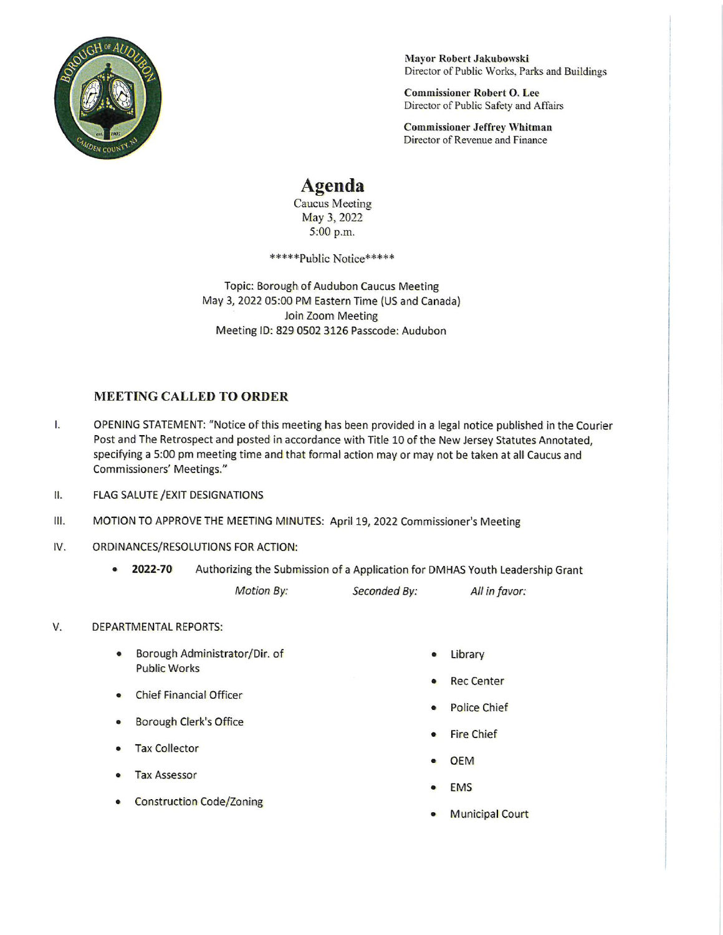

Mayor Robert Jakubowski Director of Public Works, Parks and Buildings

**Commissioner Robert O. Lee** Director of Public Safety and Affairs

**Commissioner Jeffrey Whitman** Director of Revenue and Finance

## **Agenda**

Caucus Meeting May 3, 2022 5:00 p.m.

\*\*\*\*\*\*Public Notice\*\*\*\*\*

Topic: Borough of Audubon Caucus Meeting May 3, 2022 05:00 PM Eastern Time (US and Canada) Join Zoom Meeting Meeting ID: 829 0502 3126 Passcode: Audubon

## **MEETING CALLED TO ORDER**

- Ī. OPENING STATEMENT: "Notice of this meeting has been provided in a legal notice published in the Courier Post and The Retrospect and posted in accordance with Title 10 of the New Jersey Statutes Annotated, specifying a 5:00 pm meeting time and that formal action may or may not be taken at all Caucus and **Commissioners' Meetings."**
- Ш. **FLAG SALUTE / EXIT DESIGNATIONS**
- MOTION TO APPROVE THE MEETING MINUTES: April 19, 2022 Commissioner's Meeting Ш.
- IV. ORDINANCES/RESOLUTIONS FOR ACTION:
	- 2022-70 Authorizing the Submission of a Application for DMHAS Youth Leadership Grant

Motion By:

Seconded By:

All in favor:

## V. **DEPARTMENTAL REPORTS:**

- Borough Administrator/Dir. of  $\bullet$ **Public Works**
- **Chief Financial Officer**
- Borough Clerk's Office
- **Tax Collector**
- **Tax Assessor**
- **Construction Code/Zoning**
- Library
- **Rec Center**
- **Police Chief**
- **Fire Chief**
- **OEM**
- **EMS**
- **Municipal Court**